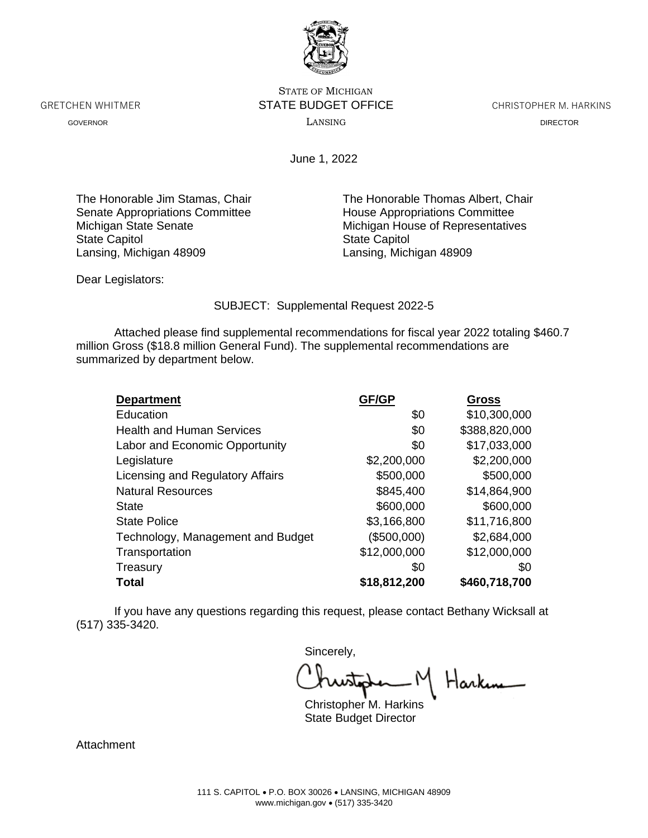

STATE OF MICHIGAN GRETCHEN WHITMER **STATE BUDGET OFFICE** CHRISTOPHER M. HARKINS GOVERNOR LANSING DIRECTOR

June 1, 2022

Senate Appropriations Committee House Appropriations Committee State Capitol Lansing, Michigan 48909 Lansing, Michigan 48909

The Honorable Jim Stamas, Chair The Honorable Thomas Albert, Chair Michigan State Senate<br>
State Capitol<br>
State Capitol<br>
State Capitol

Dear Legislators:

SUBJECT: Supplemental Request 2022-5

Attached please find supplemental recommendations for fiscal year 2022 totaling \$460.7 million Gross (\$18.8 million General Fund). The supplemental recommendations are summarized by department below.

| <b>Department</b>                 | GF/GP        | <b>Gross</b>  |
|-----------------------------------|--------------|---------------|
| Education                         | \$0          | \$10,300,000  |
| <b>Health and Human Services</b>  | \$0          | \$388,820,000 |
| Labor and Economic Opportunity    | \$0          | \$17,033,000  |
| Legislature                       | \$2,200,000  | \$2,200,000   |
| Licensing and Regulatory Affairs  | \$500,000    | \$500,000     |
| <b>Natural Resources</b>          | \$845,400    | \$14,864,900  |
| <b>State</b>                      | \$600,000    | \$600,000     |
| <b>State Police</b>               | \$3,166,800  | \$11,716,800  |
| Technology, Management and Budget | (\$500,000)  | \$2,684,000   |
| Transportation                    | \$12,000,000 | \$12,000,000  |
| Treasury                          | \$0          | \$0           |
| Total                             | \$18,812,200 | \$460,718,700 |

If you have any questions regarding this request, please contact Bethany Wicksall at (517) 335-3420.

Sincerely,

Christopher M. Harkins

State Budget Director

**Attachment**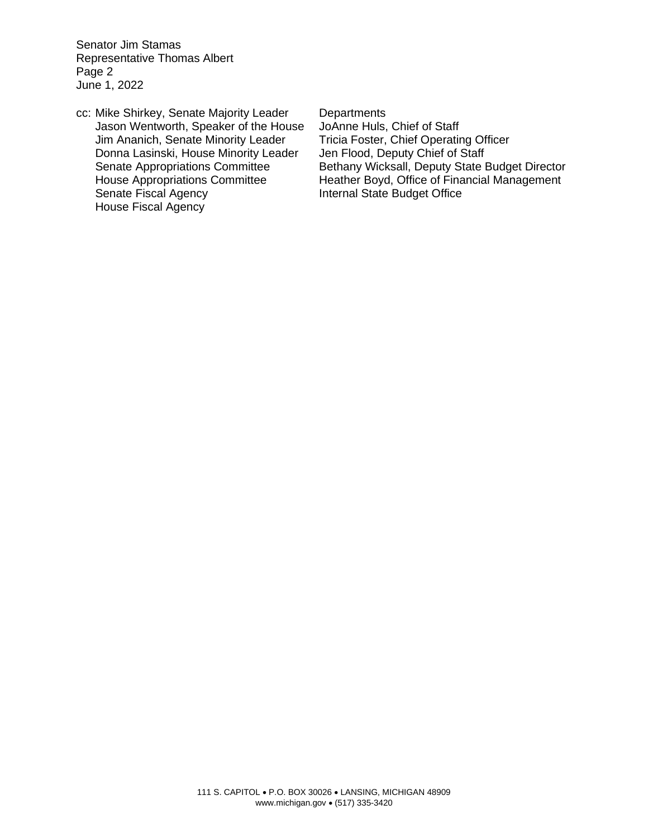Senator Jim Stamas Representative Thomas Albert Page 2 June 1, 2022

cc: Mike Shirkey, Senate Majority Leader Departments Jason Wentworth, Speaker of the House JoAnne Huls, Chief of Staff<br>Jim Ananich, Senate Minority Leader Tricia Foster, Chief Operating Officer Jim Ananich, Senate Minority Leader Tricia Foster, Chief Operating Of<br>Donna Lasinski, House Minority Leader Jen Flood, Deputy Chief of Staff Donna Lasinski, House Minority Leader<br>Senate Appropriations Committee Senate Fiscal Agency **Internal State Budget Office** House Fiscal Agency

Bethany Wicksall, Deputy State Budget Director House Appropriations Committee Heather Boyd, Office of Financial Management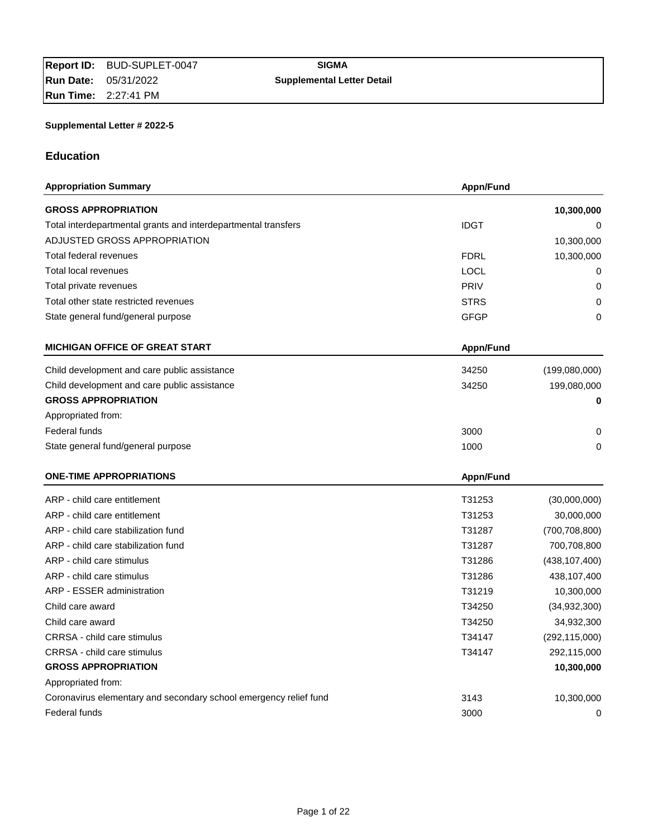# **Education**

| <b>Appropriation Summary</b>                                      | Appn/Fund        |                 |
|-------------------------------------------------------------------|------------------|-----------------|
| <b>GROSS APPROPRIATION</b>                                        |                  | 10,300,000      |
| Total interdepartmental grants and interdepartmental transfers    | <b>IDGT</b>      | 0               |
| ADJUSTED GROSS APPROPRIATION                                      |                  | 10,300,000      |
| Total federal revenues                                            | <b>FDRL</b>      | 10,300,000      |
| <b>Total local revenues</b>                                       | <b>LOCL</b>      | 0               |
| Total private revenues                                            | <b>PRIV</b>      | 0               |
| Total other state restricted revenues                             | <b>STRS</b>      | 0               |
| State general fund/general purpose                                | <b>GFGP</b>      | 0               |
| <b>MICHIGAN OFFICE OF GREAT START</b>                             | <b>Appn/Fund</b> |                 |
| Child development and care public assistance                      | 34250            | (199,080,000)   |
| Child development and care public assistance                      | 34250            | 199,080,000     |
| <b>GROSS APPROPRIATION</b>                                        |                  | 0               |
| Appropriated from:                                                |                  |                 |
| Federal funds                                                     | 3000             | 0               |
| State general fund/general purpose                                | 1000             | 0               |
| <b>ONE-TIME APPROPRIATIONS</b>                                    | <b>Appn/Fund</b> |                 |
| ARP - child care entitlement                                      | T31253           | (30,000,000)    |
| ARP - child care entitlement                                      | T31253           | 30,000,000      |
| ARP - child care stabilization fund                               | T31287           | (700, 708, 800) |
| ARP - child care stabilization fund                               | T31287           | 700,708,800     |
| ARP - child care stimulus                                         | T31286           | (438, 107, 400) |
| ARP - child care stimulus                                         | T31286           | 438,107,400     |
| ARP - ESSER administration                                        | T31219           | 10,300,000      |
| Child care award                                                  | T34250           | (34, 932, 300)  |
| Child care award                                                  | T34250           | 34,932,300      |
| CRRSA - child care stimulus                                       | T34147           | (292, 115, 000) |
| CRRSA - child care stimulus                                       | T34147           | 292,115,000     |
| <b>GROSS APPROPRIATION</b>                                        |                  | 10,300,000      |
| Appropriated from:                                                |                  |                 |
| Coronavirus elementary and secondary school emergency relief fund | 3143             | 10,300,000      |
| Federal funds                                                     | 3000             | 0               |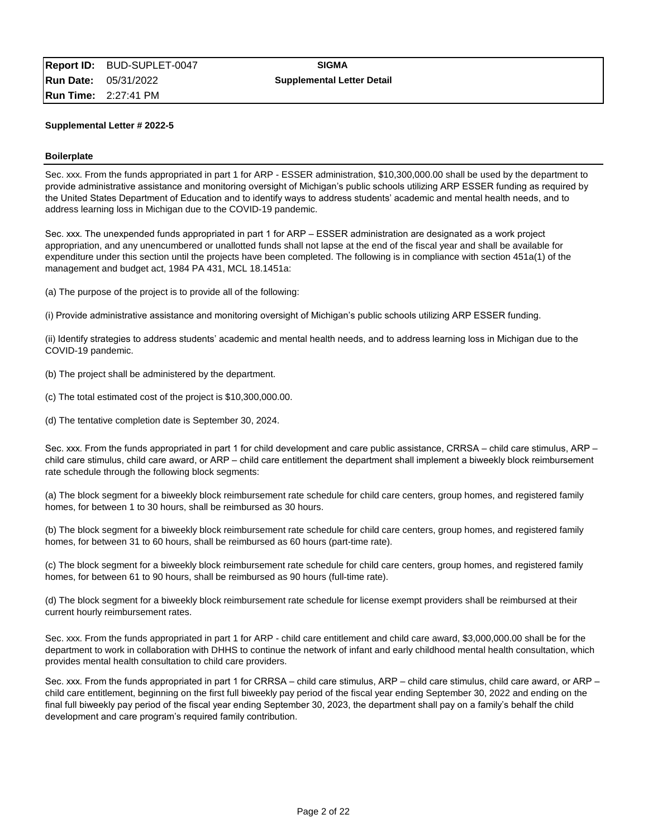#### **Boilerplate**

Sec. xxx. From the funds appropriated in part 1 for ARP - ESSER administration, \$10,300,000.00 shall be used by the department to provide administrative assistance and monitoring oversight of Michigan's public schools utilizing ARP ESSER funding as required by the United States Department of Education and to identify ways to address students' academic and mental health needs, and to address learning loss in Michigan due to the COVID-19 pandemic.

Sec. xxx. The unexpended funds appropriated in part 1 for ARP – ESSER administration are designated as a work project appropriation, and any unencumbered or unallotted funds shall not lapse at the end of the fiscal year and shall be available for expenditure under this section until the projects have been completed. The following is in compliance with section 451a(1) of the management and budget act, 1984 PA 431, MCL 18.1451a:

(a) The purpose of the project is to provide all of the following:

(i) Provide administrative assistance and monitoring oversight of Michigan's public schools utilizing ARP ESSER funding.

(ii) Identify strategies to address students' academic and mental health needs, and to address learning loss in Michigan due to the COVID-19 pandemic.

- (b) The project shall be administered by the department.
- (c) The total estimated cost of the project is \$10,300,000.00.
- (d) The tentative completion date is September 30, 2024.

Sec. xxx. From the funds appropriated in part 1 for child development and care public assistance, CRRSA – child care stimulus, ARP – child care stimulus, child care award, or ARP – child care entitlement the department shall implement a biweekly block reimbursement rate schedule through the following block segments:

(a) The block segment for a biweekly block reimbursement rate schedule for child care centers, group homes, and registered family homes, for between 1 to 30 hours, shall be reimbursed as 30 hours.

(b) The block segment for a biweekly block reimbursement rate schedule for child care centers, group homes, and registered family homes, for between 31 to 60 hours, shall be reimbursed as 60 hours (part-time rate).

(c) The block segment for a biweekly block reimbursement rate schedule for child care centers, group homes, and registered family homes, for between 61 to 90 hours, shall be reimbursed as 90 hours (full-time rate).

(d) The block segment for a biweekly block reimbursement rate schedule for license exempt providers shall be reimbursed at their current hourly reimbursement rates.

Sec. xxx. From the funds appropriated in part 1 for ARP - child care entitlement and child care award, \$3,000,000.00 shall be for the department to work in collaboration with DHHS to continue the network of infant and early childhood mental health consultation, which provides mental health consultation to child care providers.

Sec. xxx. From the funds appropriated in part 1 for CRRSA – child care stimulus, ARP – child care stimulus, child care award, or ARP – child care entitlement, beginning on the first full biweekly pay period of the fiscal year ending September 30, 2022 and ending on the final full biweekly pay period of the fiscal year ending September 30, 2023, the department shall pay on a family's behalf the child development and care program's required family contribution.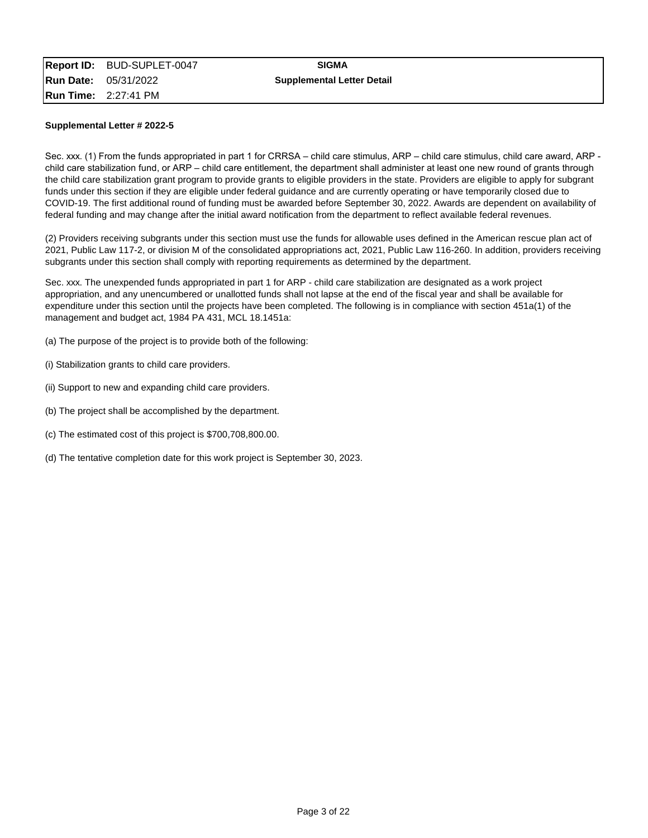Sec. xxx. (1) From the funds appropriated in part 1 for CRRSA – child care stimulus, ARP – child care stimulus, child care award, ARP child care stabilization fund, or ARP – child care entitlement, the department shall administer at least one new round of grants through the child care stabilization grant program to provide grants to eligible providers in the state. Providers are eligible to apply for subgrant funds under this section if they are eligible under federal guidance and are currently operating or have temporarily closed due to COVID-19. The first additional round of funding must be awarded before September 30, 2022. Awards are dependent on availability of federal funding and may change after the initial award notification from the department to reflect available federal revenues.

(2) Providers receiving subgrants under this section must use the funds for allowable uses defined in the American rescue plan act of 2021, Public Law 117-2, or division M of the consolidated appropriations act, 2021, Public Law 116-260. In addition, providers receiving subgrants under this section shall comply with reporting requirements as determined by the department.

Sec. xxx. The unexpended funds appropriated in part 1 for ARP - child care stabilization are designated as a work project appropriation, and any unencumbered or unallotted funds shall not lapse at the end of the fiscal year and shall be available for expenditure under this section until the projects have been completed. The following is in compliance with section 451a(1) of the management and budget act, 1984 PA 431, MCL 18.1451a:

(a) The purpose of the project is to provide both of the following:

- (i) Stabilization grants to child care providers.
- (ii) Support to new and expanding child care providers.
- (b) The project shall be accomplished by the department.
- (c) The estimated cost of this project is \$700,708,800.00.
- (d) The tentative completion date for this work project is September 30, 2023.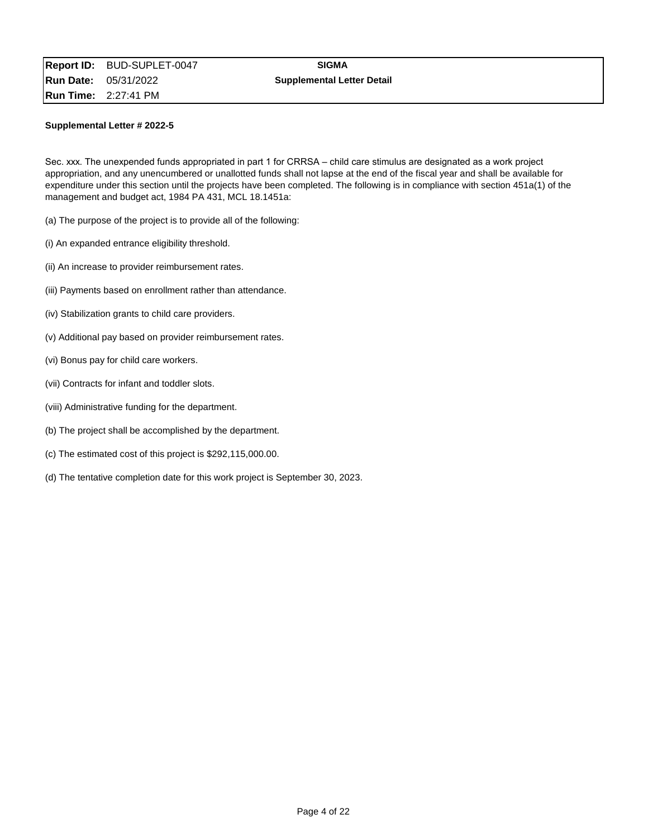Sec. xxx. The unexpended funds appropriated in part 1 for CRRSA – child care stimulus are designated as a work project appropriation, and any unencumbered or unallotted funds shall not lapse at the end of the fiscal year and shall be available for expenditure under this section until the projects have been completed. The following is in compliance with section 451a(1) of the management and budget act, 1984 PA 431, MCL 18.1451a:

- (a) The purpose of the project is to provide all of the following:
- (i) An expanded entrance eligibility threshold.
- (ii) An increase to provider reimbursement rates.
- (iii) Payments based on enrollment rather than attendance.
- (iv) Stabilization grants to child care providers.
- (v) Additional pay based on provider reimbursement rates.
- (vi) Bonus pay for child care workers.
- (vii) Contracts for infant and toddler slots.
- (viii) Administrative funding for the department.
- (b) The project shall be accomplished by the department.
- (c) The estimated cost of this project is \$292,115,000.00.
- (d) The tentative completion date for this work project is September 30, 2023.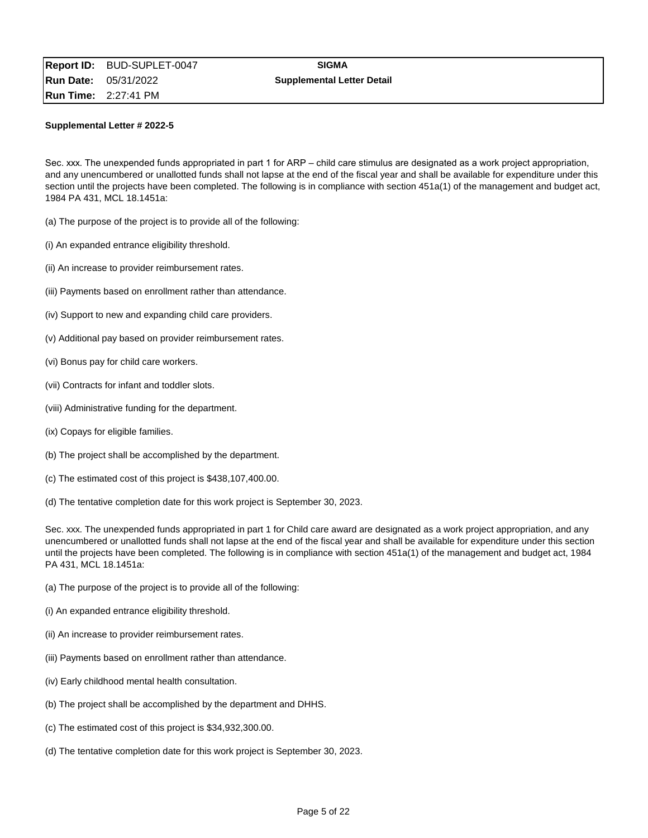Sec. xxx. The unexpended funds appropriated in part 1 for ARP – child care stimulus are designated as a work project appropriation, and any unencumbered or unallotted funds shall not lapse at the end of the fiscal year and shall be available for expenditure under this section until the projects have been completed. The following is in compliance with section 451a(1) of the management and budget act, 1984 PA 431, MCL 18.1451a:

- (a) The purpose of the project is to provide all of the following:
- (i) An expanded entrance eligibility threshold.
- (ii) An increase to provider reimbursement rates.
- (iii) Payments based on enrollment rather than attendance.
- (iv) Support to new and expanding child care providers.
- (v) Additional pay based on provider reimbursement rates.
- (vi) Bonus pay for child care workers.
- (vii) Contracts for infant and toddler slots.
- (viii) Administrative funding for the department.
- (ix) Copays for eligible families.
- (b) The project shall be accomplished by the department.
- (c) The estimated cost of this project is \$438,107,400.00.
- (d) The tentative completion date for this work project is September 30, 2023.

Sec. xxx. The unexpended funds appropriated in part 1 for Child care award are designated as a work project appropriation, and any unencumbered or unallotted funds shall not lapse at the end of the fiscal year and shall be available for expenditure under this section until the projects have been completed. The following is in compliance with section 451a(1) of the management and budget act, 1984 PA 431, MCL 18.1451a:

- (a) The purpose of the project is to provide all of the following:
- (i) An expanded entrance eligibility threshold.
- (ii) An increase to provider reimbursement rates.
- (iii) Payments based on enrollment rather than attendance.
- (iv) Early childhood mental health consultation.
- (b) The project shall be accomplished by the department and DHHS.
- (c) The estimated cost of this project is \$34,932,300.00.
- (d) The tentative completion date for this work project is September 30, 2023.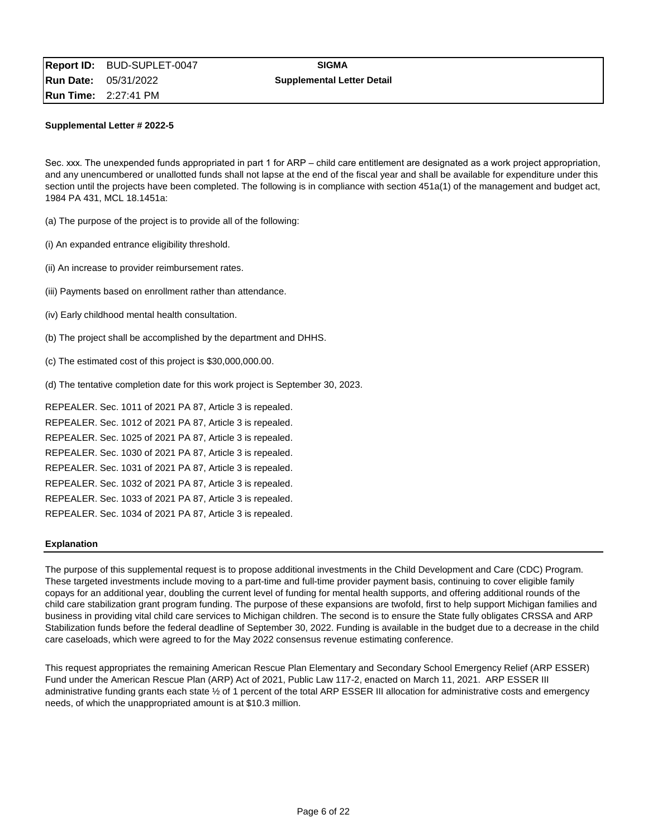Sec. xxx. The unexpended funds appropriated in part 1 for ARP – child care entitlement are designated as a work project appropriation, and any unencumbered or unallotted funds shall not lapse at the end of the fiscal year and shall be available for expenditure under this section until the projects have been completed. The following is in compliance with section 451a(1) of the management and budget act, 1984 PA 431, MCL 18.1451a:

(a) The purpose of the project is to provide all of the following:

- (i) An expanded entrance eligibility threshold.
- (ii) An increase to provider reimbursement rates.
- (iii) Payments based on enrollment rather than attendance.
- (iv) Early childhood mental health consultation.
- (b) The project shall be accomplished by the department and DHHS.
- (c) The estimated cost of this project is \$30,000,000.00.
- (d) The tentative completion date for this work project is September 30, 2023.

REPEALER. Sec. 1011 of 2021 PA 87, Article 3 is repealed. REPEALER. Sec. 1012 of 2021 PA 87, Article 3 is repealed. REPEALER. Sec. 1025 of 2021 PA 87, Article 3 is repealed. REPEALER. Sec. 1030 of 2021 PA 87, Article 3 is repealed. REPEALER. Sec. 1031 of 2021 PA 87, Article 3 is repealed. REPEALER. Sec. 1032 of 2021 PA 87, Article 3 is repealed. REPEALER. Sec. 1033 of 2021 PA 87, Article 3 is repealed. REPEALER. Sec. 1034 of 2021 PA 87, Article 3 is repealed.

#### **Explanation**

The purpose of this supplemental request is to propose additional investments in the Child Development and Care (CDC) Program. These targeted investments include moving to a part-time and full-time provider payment basis, continuing to cover eligible family copays for an additional year, doubling the current level of funding for mental health supports, and offering additional rounds of the child care stabilization grant program funding. The purpose of these expansions are twofold, first to help support Michigan families and business in providing vital child care services to Michigan children. The second is to ensure the State fully obligates CRSSA and ARP Stabilization funds before the federal deadline of September 30, 2022. Funding is available in the budget due to a decrease in the child care caseloads, which were agreed to for the May 2022 consensus revenue estimating conference.

This request appropriates the remaining American Rescue Plan Elementary and Secondary School Emergency Relief (ARP ESSER) Fund under the American Rescue Plan (ARP) Act of 2021, Public Law 117-2, enacted on March 11, 2021. ARP ESSER III administrative funding grants each state ½ of 1 percent of the total ARP ESSER III allocation for administrative costs and emergency needs, of which the unappropriated amount is at \$10.3 million.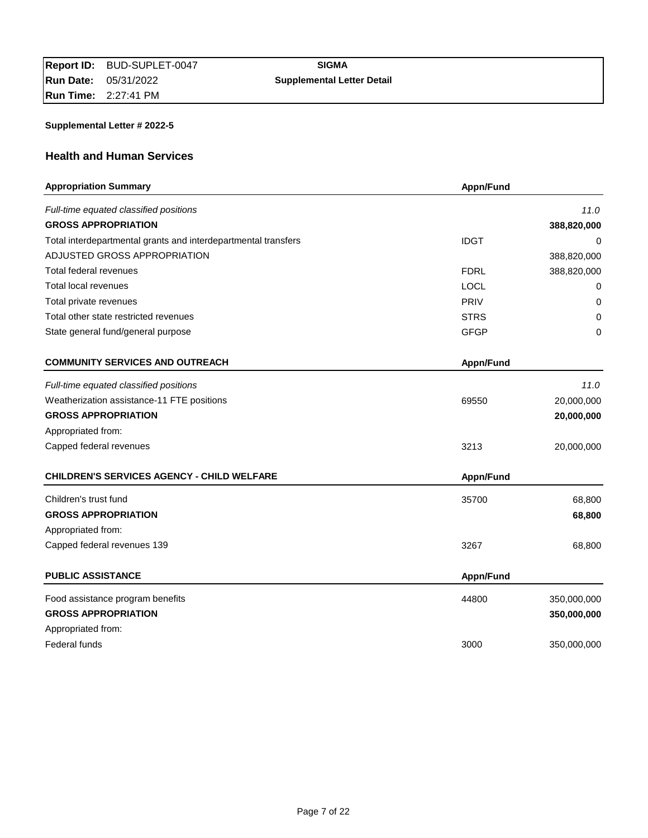# **Health and Human Services**

| <b>Appropriation Summary</b>                                   | Appn/Fund   |             |
|----------------------------------------------------------------|-------------|-------------|
| Full-time equated classified positions                         |             | 11.0        |
| <b>GROSS APPROPRIATION</b>                                     |             | 388,820,000 |
| Total interdepartmental grants and interdepartmental transfers | <b>IDGT</b> | 0           |
| ADJUSTED GROSS APPROPRIATION                                   |             | 388,820,000 |
| Total federal revenues                                         | <b>FDRL</b> | 388,820,000 |
| Total local revenues                                           | <b>LOCL</b> | 0           |
| Total private revenues                                         | PRIV        | 0           |
| Total other state restricted revenues                          | <b>STRS</b> | 0           |
| State general fund/general purpose                             | <b>GFGP</b> | 0           |
| <b>COMMUNITY SERVICES AND OUTREACH</b>                         | Appn/Fund   |             |
| Full-time equated classified positions                         |             | 11.0        |
| Weatherization assistance-11 FTE positions                     | 69550       | 20,000,000  |
| <b>GROSS APPROPRIATION</b>                                     |             | 20,000,000  |
| Appropriated from:                                             |             |             |
| Capped federal revenues                                        | 3213        | 20,000,000  |
| <b>CHILDREN'S SERVICES AGENCY - CHILD WELFARE</b>              | Appn/Fund   |             |
| Children's trust fund                                          | 35700       | 68,800      |
| <b>GROSS APPROPRIATION</b>                                     |             | 68,800      |
| Appropriated from:                                             |             |             |
| Capped federal revenues 139                                    | 3267        | 68,800      |
| <b>PUBLIC ASSISTANCE</b>                                       | Appn/Fund   |             |
| Food assistance program benefits                               | 44800       | 350,000,000 |
| <b>GROSS APPROPRIATION</b>                                     |             | 350,000,000 |
| Appropriated from:                                             |             |             |
| Federal funds                                                  | 3000        | 350,000,000 |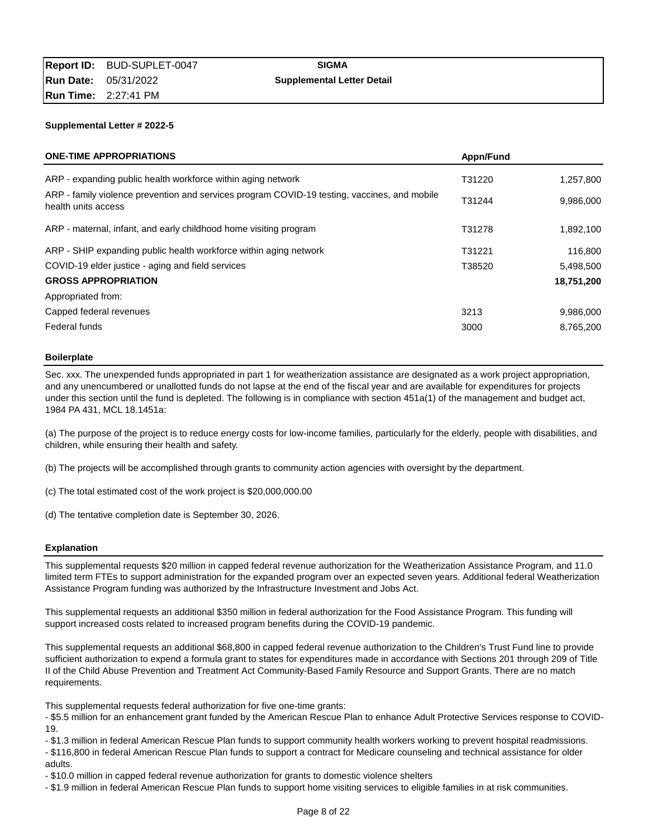| <b>ONE-TIME APPROPRIATIONS</b>                                                                                      | Appn/Fund |            |
|---------------------------------------------------------------------------------------------------------------------|-----------|------------|
| ARP - expanding public health workforce within aging network                                                        | T31220    | 1,257,800  |
| ARP - family violence prevention and services program COVID-19 testing, vaccines, and mobile<br>health units access | T31244    | 9,986,000  |
| ARP - maternal, infant, and early childhood home visiting program                                                   | T31278    | 1,892,100  |
| ARP - SHIP expanding public health workforce within aging network                                                   | T31221    | 116,800    |
| COVID-19 elder justice - aging and field services                                                                   | T38520    | 5,498,500  |
| <b>GROSS APPROPRIATION</b>                                                                                          |           | 18,751,200 |
| Appropriated from:                                                                                                  |           |            |
| Capped federal revenues                                                                                             | 3213      | 9,986,000  |
| Federal funds                                                                                                       | 3000      | 8,765,200  |

#### **Boilerplate**

Sec. xxx. The unexpended funds appropriated in part 1 for weatherization assistance are designated as a work project appropriation, and any unencumbered or unallotted funds do not lapse at the end of the fiscal year and are available for expenditures for projects under this section until the fund is depleted. The following is in compliance with section 451a(1) of the management and budget act, 1984 PA 431, MCL 18.1451a:

(a) The purpose of the project is to reduce energy costs for low-income families, particularly for the elderly, people with disabilities, and children, while ensuring their health and safety.

(b) The projects will be accomplished through grants to community action agencies with oversight by the department.

(c) The total estimated cost of the work project is \$20,000,000.00

(d) The tentative completion date is September 30, 2026.

### **Explanation**

This supplemental requests \$20 million in capped federal revenue authorization for the Weatherization Assistance Program, and 11.0 limited term FTEs to support administration for the expanded program over an expected seven years. Additional federal Weatherization Assistance Program funding was authorized by the Infrastructure Investment and Jobs Act.

This supplemental requests an additional \$350 million in federal authorization for the Food Assistance Program. This funding will support increased costs related to increased program benefits during the COVID-19 pandemic.

This supplemental requests an additional \$68,800 in capped federal revenue authorization to the Children's Trust Fund line to provide sufficient authorization to expend a formula grant to states for expenditures made in accordance with Sections 201 through 209 of Title II of the Child Abuse Prevention and Treatment Act Community-Based Family Resource and Support Grants. There are no match requirements.

This supplemental requests federal authorization for five one-time grants:

- \$5.5 million for an enhancement grant funded by the American Rescue Plan to enhance Adult Protective Services response to COVID-19.

- \$1.3 million in federal American Rescue Plan funds to support community health workers working to prevent hospital readmissions.

- \$116,800 in federal American Rescue Plan funds to support a contract for Medicare counseling and technical assistance for older adults.

- \$10.0 million in capped federal revenue authorization for grants to domestic violence shelters

- \$1.9 million in federal American Rescue Plan funds to support home visiting services to eligible families in at risk communities.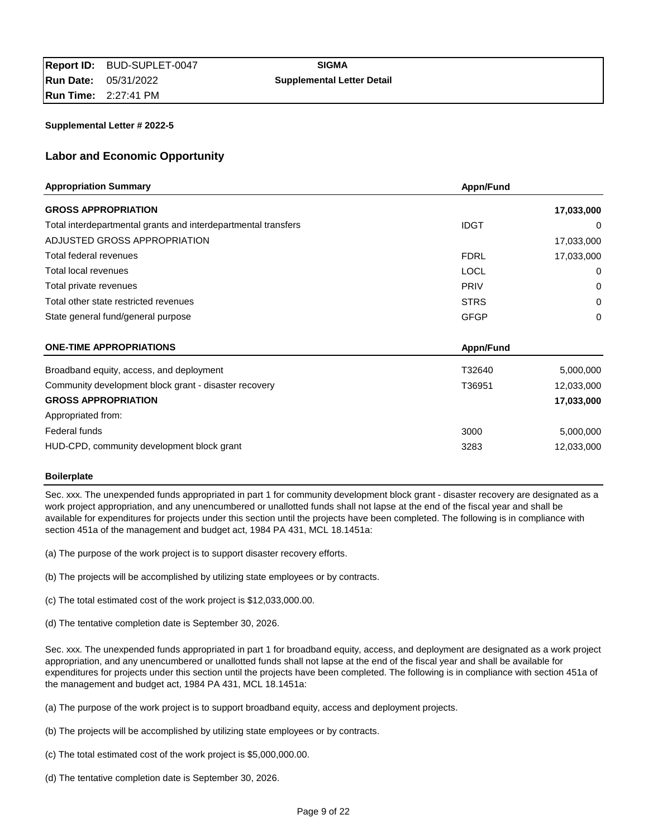# **Labor and Economic Opportunity**

| <b>Appropriation Summary</b>                                   | Appn/Fund   |            |
|----------------------------------------------------------------|-------------|------------|
| <b>GROSS APPROPRIATION</b>                                     |             | 17,033,000 |
| Total interdepartmental grants and interdepartmental transfers | <b>IDGT</b> | 0          |
| ADJUSTED GROSS APPROPRIATION                                   |             | 17,033,000 |
| Total federal revenues                                         | <b>FDRL</b> | 17,033,000 |
| Total local revenues                                           | <b>LOCL</b> | 0          |
| Total private revenues                                         | <b>PRIV</b> | 0          |
| Total other state restricted revenues                          | <b>STRS</b> | 0          |
| State general fund/general purpose                             | <b>GFGP</b> | 0          |
| <b>ONE-TIME APPROPRIATIONS</b>                                 | Appn/Fund   |            |
| Broadband equity, access, and deployment                       | T32640      | 5,000,000  |
| Community development block grant - disaster recovery          | T36951      | 12,033,000 |
| <b>GROSS APPROPRIATION</b>                                     |             | 17,033,000 |
| Appropriated from:                                             |             |            |
| Federal funds                                                  | 3000        | 5,000,000  |
| HUD-CPD, community development block grant                     | 3283        | 12.033.000 |

### **Boilerplate**

Sec. xxx. The unexpended funds appropriated in part 1 for community development block grant - disaster recovery are designated as a work project appropriation, and any unencumbered or unallotted funds shall not lapse at the end of the fiscal year and shall be available for expenditures for projects under this section until the projects have been completed. The following is in compliance with section 451a of the management and budget act, 1984 PA 431, MCL 18.1451a:

- (a) The purpose of the work project is to support disaster recovery efforts.
- (b) The projects will be accomplished by utilizing state employees or by contracts.
- (c) The total estimated cost of the work project is \$12,033,000.00.
- (d) The tentative completion date is September 30, 2026.

Sec. xxx. The unexpended funds appropriated in part 1 for broadband equity, access, and deployment are designated as a work project appropriation, and any unencumbered or unallotted funds shall not lapse at the end of the fiscal year and shall be available for expenditures for projects under this section until the projects have been completed. The following is in compliance with section 451a of the management and budget act, 1984 PA 431, MCL 18.1451a:

- (a) The purpose of the work project is to support broadband equity, access and deployment projects.
- (b) The projects will be accomplished by utilizing state employees or by contracts.
- (c) The total estimated cost of the work project is \$5,000,000.00.
- (d) The tentative completion date is September 30, 2026.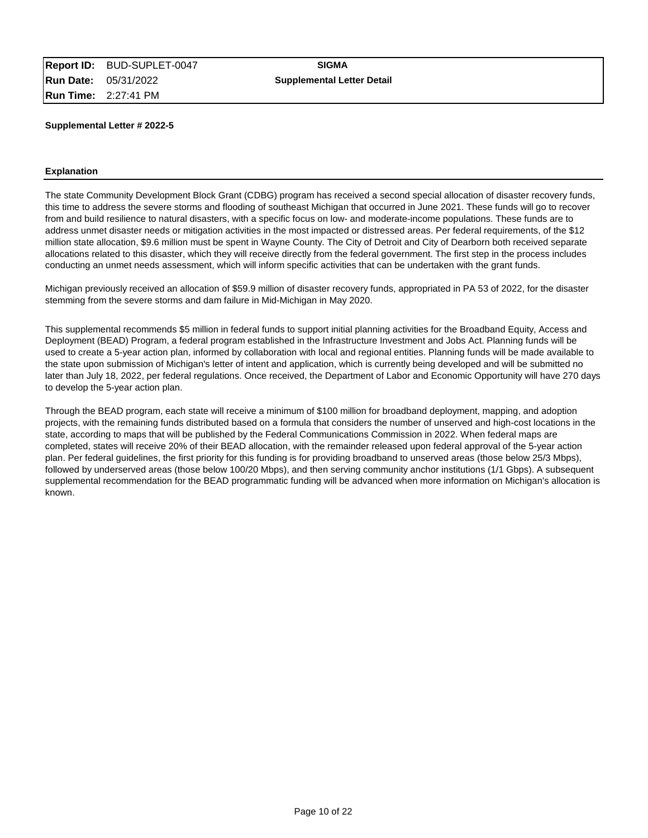#### **Explanation**

The state Community Development Block Grant (CDBG) program has received a second special allocation of disaster recovery funds, this time to address the severe storms and flooding of southeast Michigan that occurred in June 2021. These funds will go to recover from and build resilience to natural disasters, with a specific focus on low- and moderate-income populations. These funds are to address unmet disaster needs or mitigation activities in the most impacted or distressed areas. Per federal requirements, of the \$12 million state allocation, \$9.6 million must be spent in Wayne County. The City of Detroit and City of Dearborn both received separate allocations related to this disaster, which they will receive directly from the federal government. The first step in the process includes conducting an unmet needs assessment, which will inform specific activities that can be undertaken with the grant funds.

Michigan previously received an allocation of \$59.9 million of disaster recovery funds, appropriated in PA 53 of 2022, for the disaster stemming from the severe storms and dam failure in Mid-Michigan in May 2020.

This supplemental recommends \$5 million in federal funds to support initial planning activities for the Broadband Equity, Access and Deployment (BEAD) Program, a federal program established in the Infrastructure Investment and Jobs Act. Planning funds will be used to create a 5-year action plan, informed by collaboration with local and regional entities. Planning funds will be made available to the state upon submission of Michigan's letter of intent and application, which is currently being developed and will be submitted no later than July 18, 2022, per federal regulations. Once received, the Department of Labor and Economic Opportunity will have 270 days to develop the 5-year action plan.

Through the BEAD program, each state will receive a minimum of \$100 million for broadband deployment, mapping, and adoption projects, with the remaining funds distributed based on a formula that considers the number of unserved and high-cost locations in the state, according to maps that will be published by the Federal Communications Commission in 2022. When federal maps are completed, states will receive 20% of their BEAD allocation, with the remainder released upon federal approval of the 5-year action plan. Per federal guidelines, the first priority for this funding is for providing broadband to unserved areas (those below 25/3 Mbps), followed by underserved areas (those below 100/20 Mbps), and then serving community anchor institutions (1/1 Gbps). A subsequent supplemental recommendation for the BEAD programmatic funding will be advanced when more information on Michigan's allocation is known.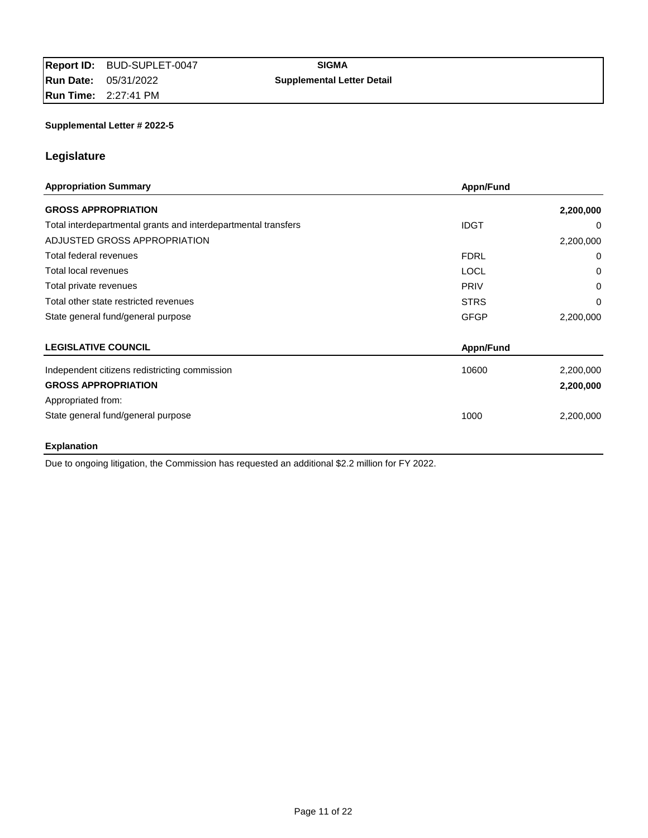# **Legislature**

| <b>Appropriation Summary</b>                                   | Appn/Fund   |           |
|----------------------------------------------------------------|-------------|-----------|
| <b>GROSS APPROPRIATION</b>                                     |             | 2,200,000 |
| Total interdepartmental grants and interdepartmental transfers | <b>IDGT</b> | $\Omega$  |
| ADJUSTED GROSS APPROPRIATION                                   |             | 2,200,000 |
| Total federal revenues                                         | <b>FDRL</b> | 0         |
| Total local revenues                                           | <b>LOCL</b> | 0         |
| Total private revenues                                         | <b>PRIV</b> | 0         |
| Total other state restricted revenues                          | <b>STRS</b> | 0         |
| State general fund/general purpose                             | <b>GFGP</b> | 2,200,000 |
| <b>LEGISLATIVE COUNCIL</b>                                     | Appn/Fund   |           |
| Independent citizens redistricting commission                  | 10600       | 2,200,000 |
| <b>GROSS APPROPRIATION</b>                                     |             | 2,200,000 |
| Appropriated from:                                             |             |           |
| State general fund/general purpose                             | 1000        | 2,200,000 |

# **Explanation**

Due to ongoing litigation, the Commission has requested an additional \$2.2 million for FY 2022.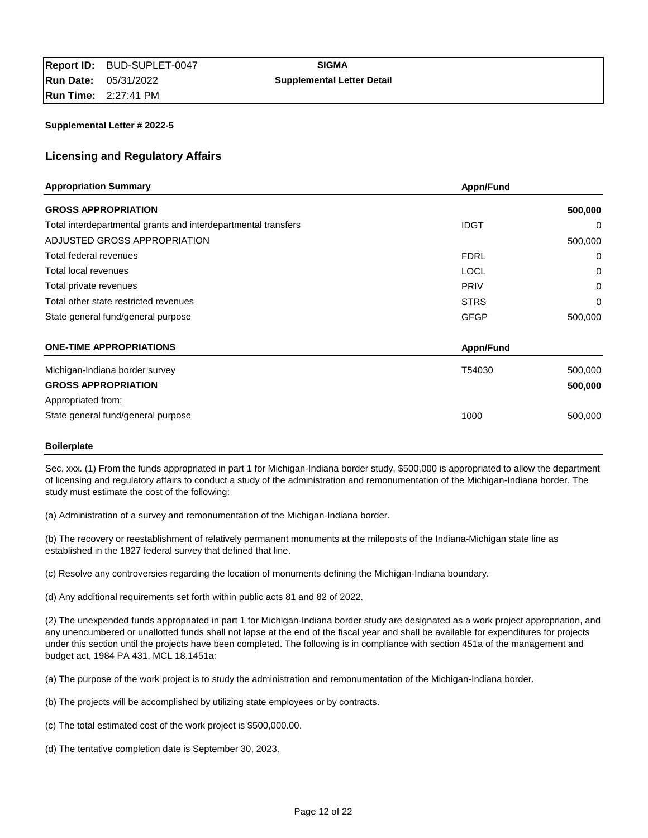# **Licensing and Regulatory Affairs**

| <b>Appropriation Summary</b>                                   | Appn/Fund   |         |
|----------------------------------------------------------------|-------------|---------|
| <b>GROSS APPROPRIATION</b>                                     |             | 500,000 |
| Total interdepartmental grants and interdepartmental transfers | <b>IDGT</b> | 0       |
| ADJUSTED GROSS APPROPRIATION                                   |             | 500,000 |
| Total federal revenues                                         | <b>FDRL</b> | 0       |
| Total local revenues                                           | <b>LOCL</b> | 0       |
| Total private revenues                                         | <b>PRIV</b> | 0       |
| Total other state restricted revenues                          | <b>STRS</b> | 0       |
| State general fund/general purpose                             | <b>GFGP</b> | 500,000 |
| <b>ONE-TIME APPROPRIATIONS</b>                                 | Appn/Fund   |         |
| Michigan-Indiana border survey                                 | T54030      | 500,000 |
| <b>GROSS APPROPRIATION</b>                                     |             | 500,000 |
| Appropriated from:                                             |             |         |
| State general fund/general purpose                             | 1000        | 500,000 |

#### **Boilerplate**

Sec. xxx. (1) From the funds appropriated in part 1 for Michigan-Indiana border study, \$500,000 is appropriated to allow the department of licensing and regulatory affairs to conduct a study of the administration and remonumentation of the Michigan-Indiana border. The study must estimate the cost of the following:

(a) Administration of a survey and remonumentation of the Michigan-Indiana border.

(b) The recovery or reestablishment of relatively permanent monuments at the mileposts of the Indiana-Michigan state line as established in the 1827 federal survey that defined that line.

(c) Resolve any controversies regarding the location of monuments defining the Michigan-Indiana boundary.

(d) Any additional requirements set forth within public acts 81 and 82 of 2022.

(2) The unexpended funds appropriated in part 1 for Michigan-Indiana border study are designated as a work project appropriation, and any unencumbered or unallotted funds shall not lapse at the end of the fiscal year and shall be available for expenditures for projects under this section until the projects have been completed. The following is in compliance with section 451a of the management and budget act, 1984 PA 431, MCL 18.1451a:

(a) The purpose of the work project is to study the administration and remonumentation of the Michigan-Indiana border.

(b) The projects will be accomplished by utilizing state employees or by contracts.

- (c) The total estimated cost of the work project is \$500,000.00.
- (d) The tentative completion date is September 30, 2023.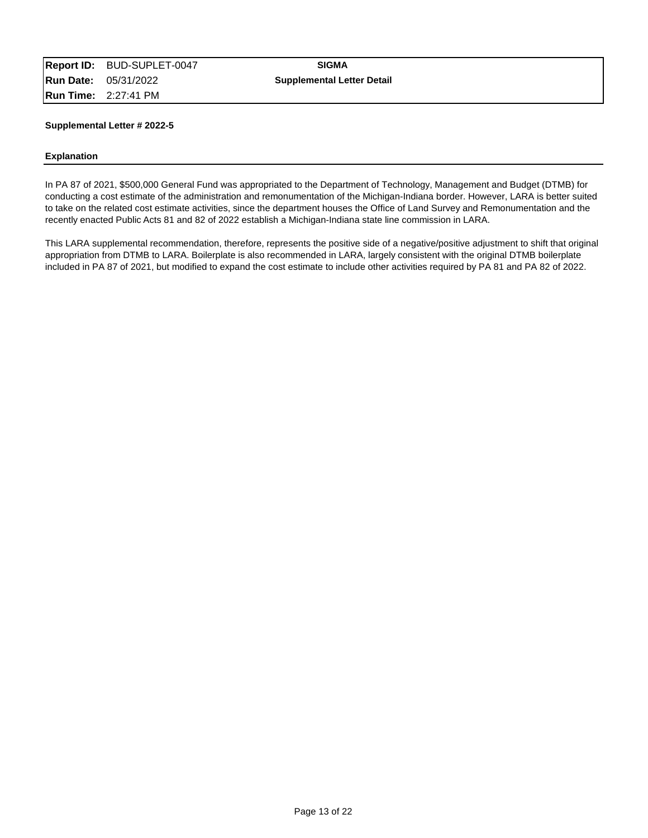#### **Explanation**

In PA 87 of 2021, \$500,000 General Fund was appropriated to the Department of Technology, Management and Budget (DTMB) for conducting a cost estimate of the administration and remonumentation of the Michigan-Indiana border. However, LARA is better suited to take on the related cost estimate activities, since the department houses the Office of Land Survey and Remonumentation and the recently enacted Public Acts 81 and 82 of 2022 establish a Michigan-Indiana state line commission in LARA.

This LARA supplemental recommendation, therefore, represents the positive side of a negative/positive adjustment to shift that original appropriation from DTMB to LARA. Boilerplate is also recommended in LARA, largely consistent with the original DTMB boilerplate included in PA 87 of 2021, but modified to expand the cost estimate to include other activities required by PA 81 and PA 82 of 2022.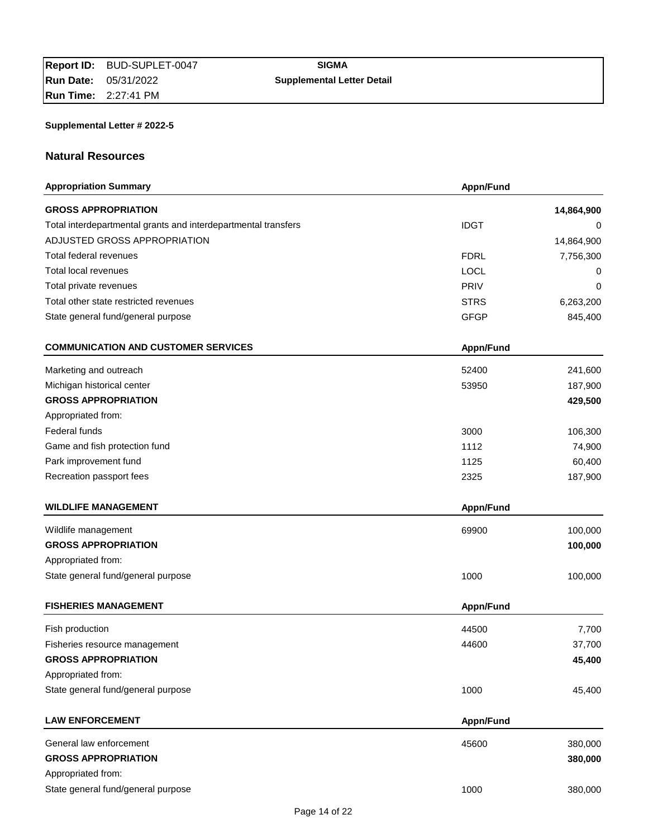# **Natural Resources**

| <b>Appropriation Summary</b>                                   | Appn/Fund   |            |
|----------------------------------------------------------------|-------------|------------|
| <b>GROSS APPROPRIATION</b>                                     |             | 14,864,900 |
| Total interdepartmental grants and interdepartmental transfers | <b>IDGT</b> | 0          |
| ADJUSTED GROSS APPROPRIATION                                   |             | 14,864,900 |
| Total federal revenues                                         | <b>FDRL</b> | 7,756,300  |
| <b>Total local revenues</b>                                    | <b>LOCL</b> | 0          |
| Total private revenues                                         | <b>PRIV</b> | 0          |
| Total other state restricted revenues                          | <b>STRS</b> | 6,263,200  |
| State general fund/general purpose                             | <b>GFGP</b> | 845,400    |
| <b>COMMUNICATION AND CUSTOMER SERVICES</b>                     | Appn/Fund   |            |
| Marketing and outreach                                         | 52400       | 241,600    |
| Michigan historical center                                     | 53950       | 187,900    |
| <b>GROSS APPROPRIATION</b>                                     |             | 429,500    |
| Appropriated from:                                             |             |            |
| Federal funds                                                  | 3000        | 106,300    |
| Game and fish protection fund                                  | 1112        | 74,900     |
| Park improvement fund                                          | 1125        | 60,400     |
| Recreation passport fees                                       | 2325        | 187,900    |
| <b>WILDLIFE MANAGEMENT</b>                                     | Appn/Fund   |            |
| Wildlife management                                            | 69900       | 100,000    |
| <b>GROSS APPROPRIATION</b>                                     |             | 100,000    |
| Appropriated from:                                             |             |            |
| State general fund/general purpose                             | 1000        | 100,000    |
| <b>FISHERIES MANAGEMENT</b>                                    | Appn/Fund   |            |
| Fish production                                                | 44500       | 7,700      |
| Fisheries resource management                                  | 44600       | 37,700     |
| <b>GROSS APPROPRIATION</b>                                     |             | 45,400     |
| Appropriated from:                                             |             |            |
| State general fund/general purpose                             | 1000        | 45,400     |
| <b>LAW ENFORCEMENT</b>                                         | Appn/Fund   |            |
| General law enforcement                                        | 45600       | 380,000    |
| <b>GROSS APPROPRIATION</b>                                     |             | 380,000    |
| Appropriated from:                                             |             |            |
| State general fund/general purpose                             | 1000        | 380,000    |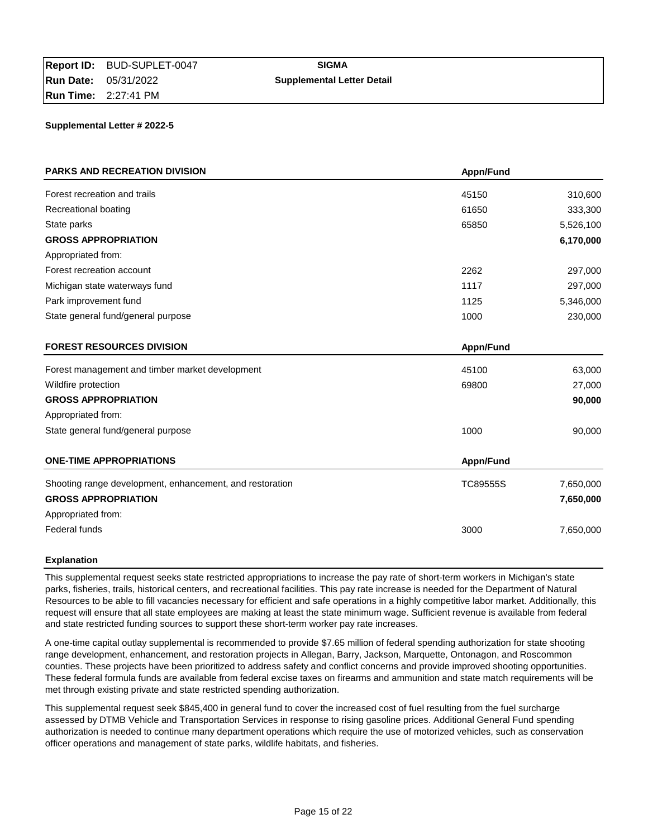| <b>PARKS AND RECREATION DIVISION</b>                     | Appn/Fund |           |
|----------------------------------------------------------|-----------|-----------|
| Forest recreation and trails                             | 45150     | 310,600   |
| Recreational boating                                     | 61650     | 333,300   |
| State parks                                              | 65850     | 5,526,100 |
| <b>GROSS APPROPRIATION</b>                               |           | 6,170,000 |
| Appropriated from:                                       |           |           |
| Forest recreation account                                | 2262      | 297,000   |
| Michigan state waterways fund                            | 1117      | 297,000   |
| Park improvement fund                                    | 1125      | 5,346,000 |
| State general fund/general purpose                       | 1000      | 230,000   |
| <b>FOREST RESOURCES DIVISION</b>                         | Appn/Fund |           |
| Forest management and timber market development          | 45100     | 63,000    |
| Wildfire protection                                      | 69800     | 27,000    |
| <b>GROSS APPROPRIATION</b>                               |           | 90,000    |
| Appropriated from:                                       |           |           |
| State general fund/general purpose                       | 1000      | 90,000    |
| <b>ONE-TIME APPROPRIATIONS</b>                           | Appn/Fund |           |
| Shooting range development, enhancement, and restoration | TC89555S  | 7,650,000 |
| <b>GROSS APPROPRIATION</b>                               |           | 7,650,000 |
| Appropriated from:                                       |           |           |
| Federal funds                                            | 3000      | 7,650,000 |

### **Explanation**

This supplemental request seeks state restricted appropriations to increase the pay rate of short-term workers in Michigan's state parks, fisheries, trails, historical centers, and recreational facilities. This pay rate increase is needed for the Department of Natural Resources to be able to fill vacancies necessary for efficient and safe operations in a highly competitive labor market. Additionally, this request will ensure that all state employees are making at least the state minimum wage. Sufficient revenue is available from federal and state restricted funding sources to support these short-term worker pay rate increases.

A one-time capital outlay supplemental is recommended to provide \$7.65 million of federal spending authorization for state shooting range development, enhancement, and restoration projects in Allegan, Barry, Jackson, Marquette, Ontonagon, and Roscommon counties. These projects have been prioritized to address safety and conflict concerns and provide improved shooting opportunities. These federal formula funds are available from federal excise taxes on firearms and ammunition and state match requirements will be met through existing private and state restricted spending authorization.

This supplemental request seek \$845,400 in general fund to cover the increased cost of fuel resulting from the fuel surcharge assessed by DTMB Vehicle and Transportation Services in response to rising gasoline prices. Additional General Fund spending authorization is needed to continue many department operations which require the use of motorized vehicles, such as conservation officer operations and management of state parks, wildlife habitats, and fisheries.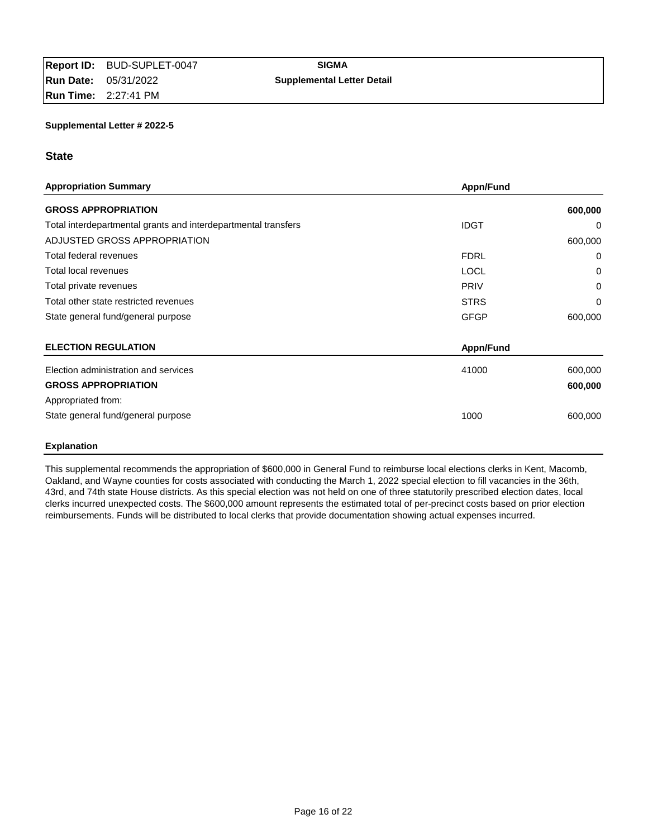### **State**

| <b>Appropriation Summary</b>                                   | Appn/Fund   |          |
|----------------------------------------------------------------|-------------|----------|
| <b>GROSS APPROPRIATION</b>                                     |             | 600,000  |
| Total interdepartmental grants and interdepartmental transfers | <b>IDGT</b> | 0        |
| ADJUSTED GROSS APPROPRIATION                                   |             | 600,000  |
| Total federal revenues                                         | <b>FDRL</b> | 0        |
| Total local revenues                                           | <b>LOCL</b> | 0        |
| Total private revenues                                         | <b>PRIV</b> | 0        |
| Total other state restricted revenues                          | <b>STRS</b> | $\Omega$ |
| State general fund/general purpose                             | <b>GFGP</b> | 600,000  |
| <b>ELECTION REGULATION</b>                                     | Appn/Fund   |          |
| Election administration and services                           | 41000       | 600,000  |
| <b>GROSS APPROPRIATION</b>                                     |             | 600,000  |
| Appropriated from:                                             |             |          |
| State general fund/general purpose                             | 1000        | 600,000  |
|                                                                |             |          |

### **Explanation**

This supplemental recommends the appropriation of \$600,000 in General Fund to reimburse local elections clerks in Kent, Macomb, Oakland, and Wayne counties for costs associated with conducting the March 1, 2022 special election to fill vacancies in the 36th, 43rd, and 74th state House districts. As this special election was not held on one of three statutorily prescribed election dates, local clerks incurred unexpected costs. The \$600,000 amount represents the estimated total of per-precinct costs based on prior election reimbursements. Funds will be distributed to local clerks that provide documentation showing actual expenses incurred.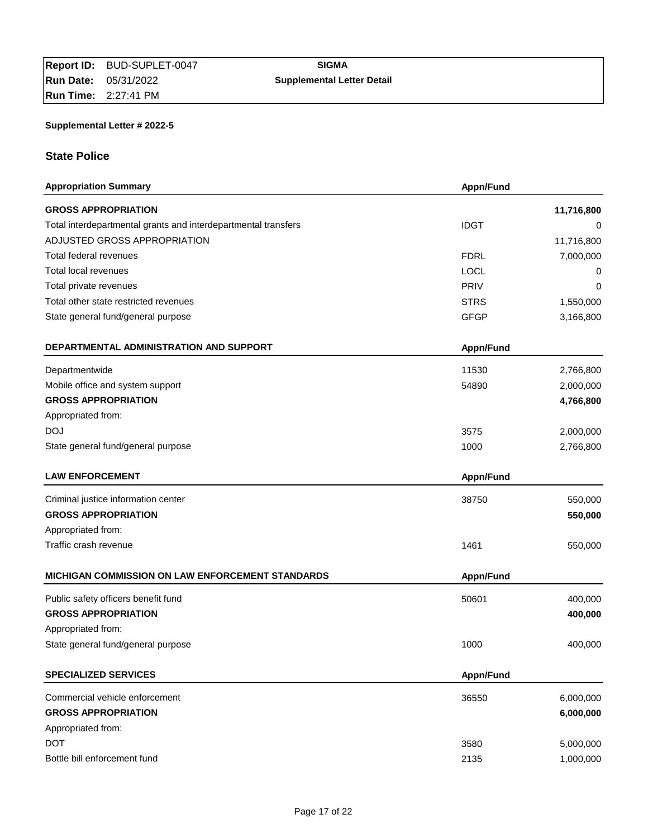# **Run Date:** 05/31/2022 **Supplemental Letter Detail**

# **Supplemental Letter # 2022-5**

# **State Police**

| <b>Appropriation Summary</b>                                   | Appn/Fund   |            |
|----------------------------------------------------------------|-------------|------------|
| <b>GROSS APPROPRIATION</b>                                     |             | 11,716,800 |
| Total interdepartmental grants and interdepartmental transfers | <b>IDGT</b> | 0          |
| ADJUSTED GROSS APPROPRIATION                                   |             | 11,716,800 |
| Total federal revenues                                         | <b>FDRL</b> | 7,000,000  |
| Total local revenues                                           | <b>LOCL</b> | 0          |
| Total private revenues                                         | PRIV        | 0          |
| Total other state restricted revenues                          | <b>STRS</b> | 1,550,000  |
| State general fund/general purpose                             | <b>GFGP</b> | 3,166,800  |
| DEPARTMENTAL ADMINISTRATION AND SUPPORT                        | Appn/Fund   |            |
| Departmentwide                                                 | 11530       | 2,766,800  |
| Mobile office and system support                               | 54890       | 2,000,000  |
| <b>GROSS APPROPRIATION</b>                                     |             | 4,766,800  |
| Appropriated from:                                             |             |            |
| <b>DOJ</b>                                                     | 3575        | 2,000,000  |
| State general fund/general purpose                             | 1000        | 2,766,800  |
| <b>LAW ENFORCEMENT</b>                                         | Appn/Fund   |            |
| Criminal justice information center                            | 38750       | 550,000    |
| <b>GROSS APPROPRIATION</b>                                     |             | 550,000    |
| Appropriated from:                                             |             |            |
| Traffic crash revenue                                          | 1461        | 550,000    |
| MICHIGAN COMMISSION ON LAW ENFORCEMENT STANDARDS               | Appn/Fund   |            |
| Public safety officers benefit fund                            | 50601       | 400,000    |
| <b>GROSS APPROPRIATION</b>                                     |             | 400,000    |
| Appropriated from:                                             |             |            |
| State general fund/general purpose                             | 1000        | 400,000    |
| <b>SPECIALIZED SERVICES</b>                                    | Appn/Fund   |            |
| Commercial vehicle enforcement                                 | 36550       | 6,000,000  |
| <b>GROSS APPROPRIATION</b>                                     |             | 6,000,000  |
| Appropriated from:                                             |             |            |
| <b>DOT</b>                                                     | 3580        | 5,000,000  |
| Bottle bill enforcement fund                                   | 2135        | 1,000,000  |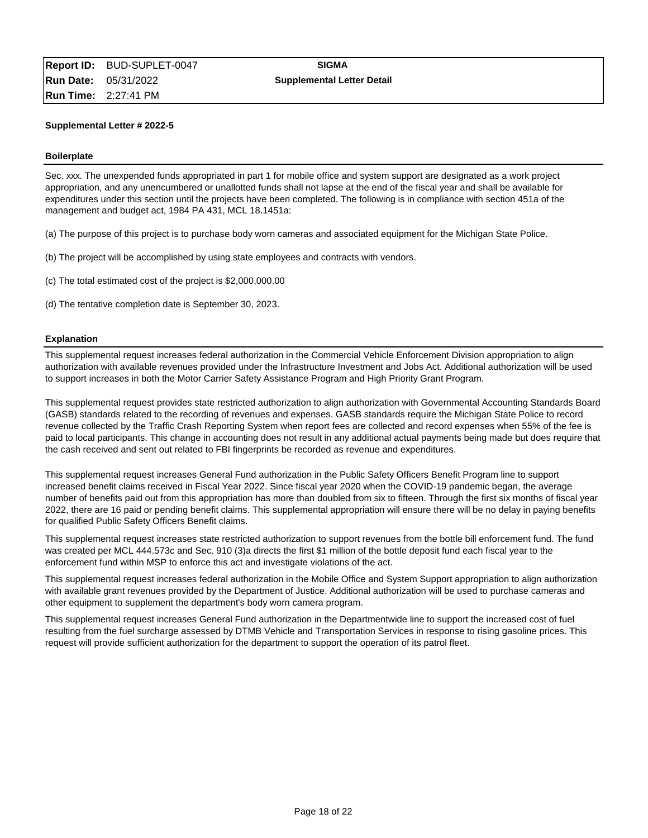#### **Boilerplate**

Sec. xxx. The unexpended funds appropriated in part 1 for mobile office and system support are designated as a work project appropriation, and any unencumbered or unallotted funds shall not lapse at the end of the fiscal year and shall be available for expenditures under this section until the projects have been completed. The following is in compliance with section 451a of the management and budget act, 1984 PA 431, MCL 18.1451a:

(a) The purpose of this project is to purchase body worn cameras and associated equipment for the Michigan State Police.

- (b) The project will be accomplished by using state employees and contracts with vendors.
- (c) The total estimated cost of the project is \$2,000,000.00
- (d) The tentative completion date is September 30, 2023.

#### **Explanation**

This supplemental request increases federal authorization in the Commercial Vehicle Enforcement Division appropriation to align authorization with available revenues provided under the Infrastructure Investment and Jobs Act. Additional authorization will be used to support increases in both the Motor Carrier Safety Assistance Program and High Priority Grant Program.

This supplemental request provides state restricted authorization to align authorization with Governmental Accounting Standards Board (GASB) standards related to the recording of revenues and expenses. GASB standards require the Michigan State Police to record revenue collected by the Traffic Crash Reporting System when report fees are collected and record expenses when 55% of the fee is paid to local participants. This change in accounting does not result in any additional actual payments being made but does require that the cash received and sent out related to FBI fingerprints be recorded as revenue and expenditures.

This supplemental request increases General Fund authorization in the Public Safety Officers Benefit Program line to support increased benefit claims received in Fiscal Year 2022. Since fiscal year 2020 when the COVID-19 pandemic began, the average number of benefits paid out from this appropriation has more than doubled from six to fifteen. Through the first six months of fiscal year 2022, there are 16 paid or pending benefit claims. This supplemental appropriation will ensure there will be no delay in paying benefits for qualified Public Safety Officers Benefit claims.

This supplemental request increases state restricted authorization to support revenues from the bottle bill enforcement fund. The fund was created per MCL 444.573c and Sec. 910 (3)a directs the first \$1 million of the bottle deposit fund each fiscal year to the enforcement fund within MSP to enforce this act and investigate violations of the act.

This supplemental request increases federal authorization in the Mobile Office and System Support appropriation to align authorization with available grant revenues provided by the Department of Justice. Additional authorization will be used to purchase cameras and other equipment to supplement the department's body worn camera program.

This supplemental request increases General Fund authorization in the Departmentwide line to support the increased cost of fuel resulting from the fuel surcharge assessed by DTMB Vehicle and Transportation Services in response to rising gasoline prices. This request will provide sufficient authorization for the department to support the operation of its patrol fleet.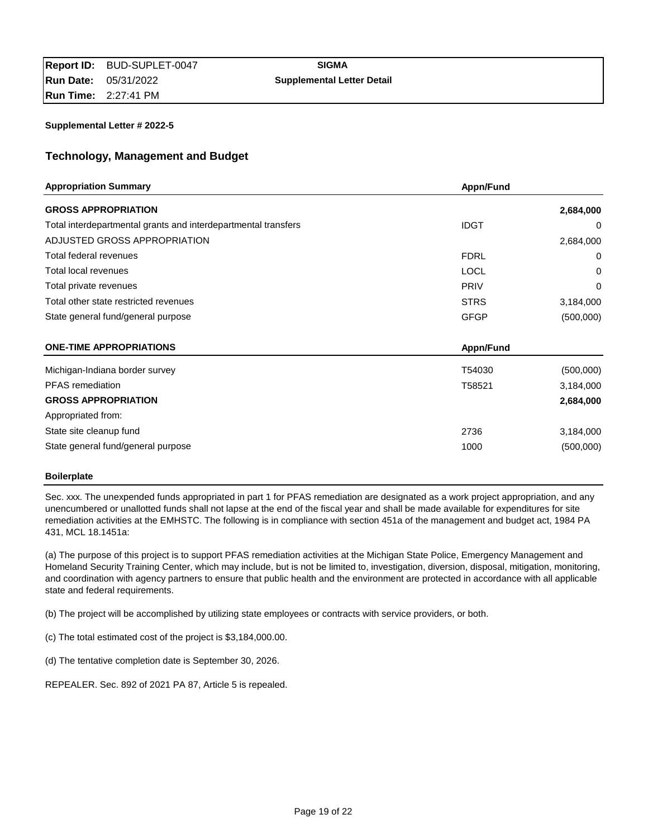# **Technology, Management and Budget**

| <b>Appropriation Summary</b>                                   | Appn/Fund   |           |
|----------------------------------------------------------------|-------------|-----------|
| <b>GROSS APPROPRIATION</b>                                     |             | 2,684,000 |
| Total interdepartmental grants and interdepartmental transfers | <b>IDGT</b> | 0         |
| ADJUSTED GROSS APPROPRIATION                                   |             | 2,684,000 |
| Total federal revenues                                         | <b>FDRL</b> | 0         |
| Total local revenues                                           | <b>LOCL</b> | 0         |
| Total private revenues                                         | <b>PRIV</b> | 0         |
| Total other state restricted revenues                          | <b>STRS</b> | 3,184,000 |
| State general fund/general purpose                             | <b>GFGP</b> | (500,000) |
| <b>ONE-TIME APPROPRIATIONS</b>                                 | Appn/Fund   |           |
| Michigan-Indiana border survey                                 | T54030      | (500,000) |
| <b>PFAS</b> remediation                                        | T58521      | 3,184,000 |
| <b>GROSS APPROPRIATION</b>                                     |             | 2,684,000 |
| Appropriated from:                                             |             |           |
| State site cleanup fund                                        | 2736        | 3,184,000 |
| State general fund/general purpose                             | 1000        | (500,000) |

### **Boilerplate**

Sec. xxx. The unexpended funds appropriated in part 1 for PFAS remediation are designated as a work project appropriation, and any unencumbered or unallotted funds shall not lapse at the end of the fiscal year and shall be made available for expenditures for site remediation activities at the EMHSTC. The following is in compliance with section 451a of the management and budget act, 1984 PA 431, MCL 18.1451a:

(a) The purpose of this project is to support PFAS remediation activities at the Michigan State Police, Emergency Management and Homeland Security Training Center, which may include, but is not be limited to, investigation, diversion, disposal, mitigation, monitoring, and coordination with agency partners to ensure that public health and the environment are protected in accordance with all applicable state and federal requirements.

(b) The project will be accomplished by utilizing state employees or contracts with service providers, or both.

(c) The total estimated cost of the project is \$3,184,000.00.

(d) The tentative completion date is September 30, 2026.

REPEALER. Sec. 892 of 2021 PA 87, Article 5 is repealed.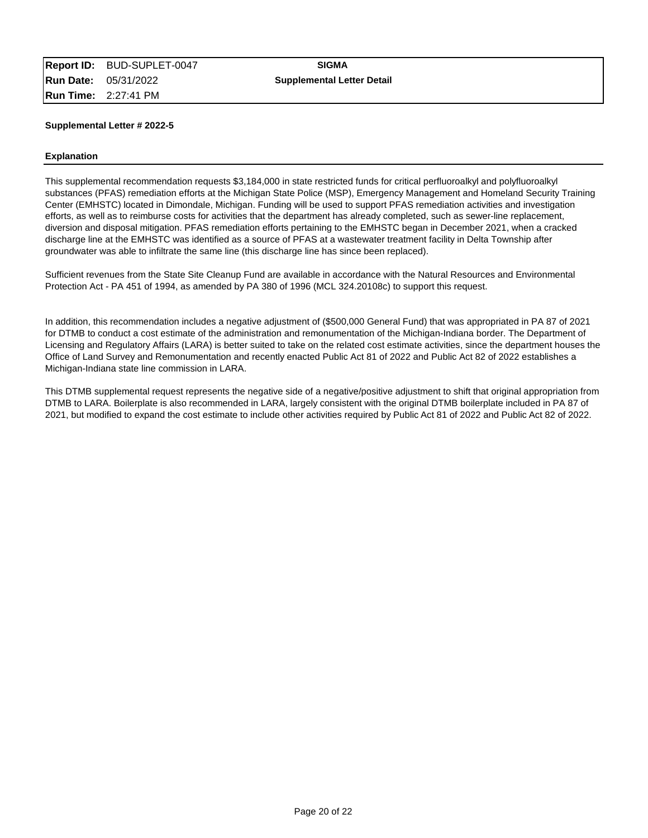### **Explanation**

This supplemental recommendation requests \$3,184,000 in state restricted funds for critical perfluoroalkyl and polyfluoroalkyl substances (PFAS) remediation efforts at the Michigan State Police (MSP), Emergency Management and Homeland Security Training Center (EMHSTC) located in Dimondale, Michigan. Funding will be used to support PFAS remediation activities and investigation efforts, as well as to reimburse costs for activities that the department has already completed, such as sewer-line replacement, diversion and disposal mitigation. PFAS remediation efforts pertaining to the EMHSTC began in December 2021, when a cracked discharge line at the EMHSTC was identified as a source of PFAS at a wastewater treatment facility in Delta Township after groundwater was able to infiltrate the same line (this discharge line has since been replaced).

Sufficient revenues from the State Site Cleanup Fund are available in accordance with the Natural Resources and Environmental Protection Act - PA 451 of 1994, as amended by PA 380 of 1996 (MCL 324.20108c) to support this request.

In addition, this recommendation includes a negative adjustment of (\$500,000 General Fund) that was appropriated in PA 87 of 2021 for DTMB to conduct a cost estimate of the administration and remonumentation of the Michigan-Indiana border. The Department of Licensing and Regulatory Affairs (LARA) is better suited to take on the related cost estimate activities, since the department houses the Office of Land Survey and Remonumentation and recently enacted Public Act 81 of 2022 and Public Act 82 of 2022 establishes a Michigan-Indiana state line commission in LARA.

This DTMB supplemental request represents the negative side of a negative/positive adjustment to shift that original appropriation from DTMB to LARA. Boilerplate is also recommended in LARA, largely consistent with the original DTMB boilerplate included in PA 87 of 2021, but modified to expand the cost estimate to include other activities required by Public Act 81 of 2022 and Public Act 82 of 2022.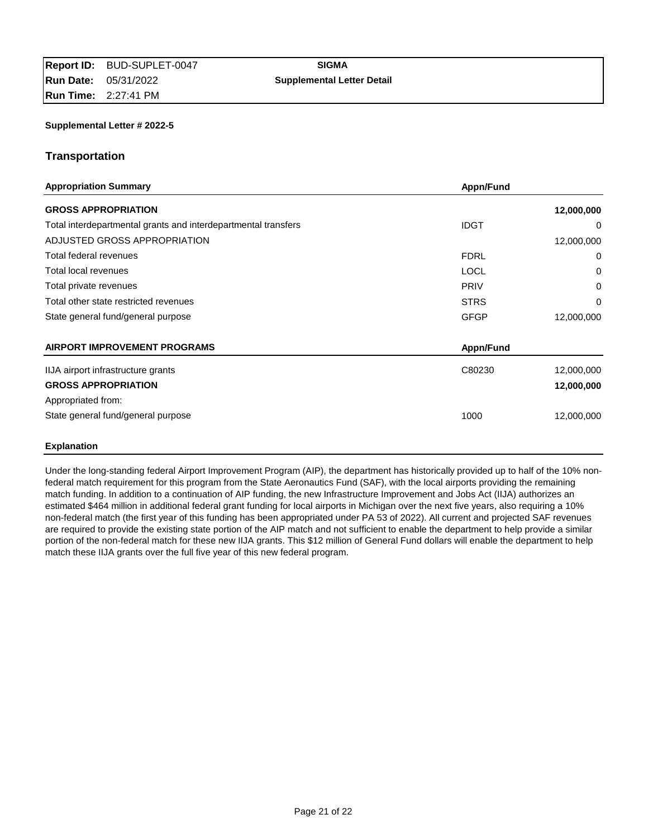# **Transportation**

| <b>Appropriation Summary</b>                                   | Appn/Fund   |            |
|----------------------------------------------------------------|-------------|------------|
| <b>GROSS APPROPRIATION</b>                                     |             | 12,000,000 |
| Total interdepartmental grants and interdepartmental transfers | <b>IDGT</b> | 0          |
| ADJUSTED GROSS APPROPRIATION                                   |             | 12,000,000 |
| Total federal revenues                                         | <b>FDRL</b> | 0          |
| Total local revenues                                           | <b>LOCL</b> | 0          |
| Total private revenues                                         | <b>PRIV</b> | 0          |
| Total other state restricted revenues                          | <b>STRS</b> | 0          |
| State general fund/general purpose                             | <b>GFGP</b> | 12,000,000 |
| <b>AIRPORT IMPROVEMENT PROGRAMS</b>                            | Appn/Fund   |            |
| IIJA airport infrastructure grants                             | C80230      | 12,000,000 |
| <b>GROSS APPROPRIATION</b>                                     |             | 12,000,000 |
| Appropriated from:                                             |             |            |
| State general fund/general purpose                             | 1000        | 12,000,000 |
| <b>Explanation</b>                                             |             |            |

Under the long-standing federal Airport Improvement Program (AIP), the department has historically provided up to half of the 10% nonfederal match requirement for this program from the State Aeronautics Fund (SAF), with the local airports providing the remaining match funding. In addition to a continuation of AIP funding, the new Infrastructure Improvement and Jobs Act (IIJA) authorizes an estimated \$464 million in additional federal grant funding for local airports in Michigan over the next five years, also requiring a 10% non-federal match (the first year of this funding has been appropriated under PA 53 of 2022). All current and projected SAF revenues are required to provide the existing state portion of the AIP match and not sufficient to enable the department to help provide a similar portion of the non-federal match for these new IIJA grants. This \$12 million of General Fund dollars will enable the department to help match these IIJA grants over the full five year of this new federal program.